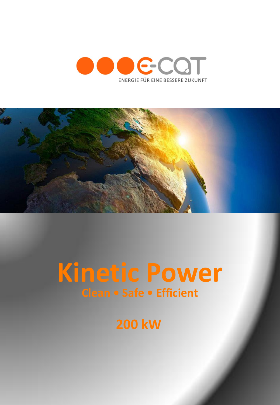



# **Kinetic Power Clean • Safe • Efficient**

**200 kW**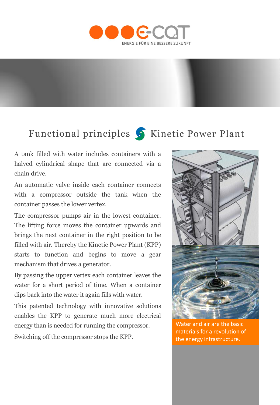

## Functional principles S Kinetic Power Plant

A tank filled with water includes containers with a halved cylindrical shape that are connected via a chain drive.

An automatic valve inside each container connects with a compressor outside the tank when the container passes the lower vertex.

The compressor pumps air in the lowest container. The lifting force moves the container upwards and brings the next container in the right position to be filled with air. Thereby the Kinetic Power Plant (KPP) starts to function and begins to move a gear mechanism that drives a generator.

By passing the upper vertex each container leaves the water for a short period of time. When a container dips back into the water it again fills with water.

This patented technology with innovative solutions enables the KPP to generate much more electrical energy than is needed for running the compressor.

Switching off the compressor stops the KPP.



Water and air are the basic materials for a revolution of the energy infrastructure.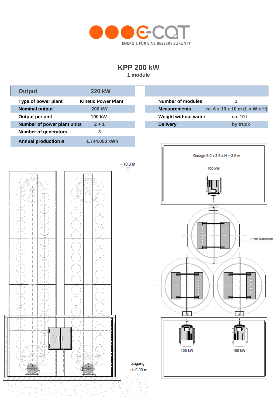

### **KPP 200 kW**

**1 module**



t ist<br>Ekst

tille.<br>Det s

 $\label{eq:1} \begin{array}{l} \omega_{\mathcal{A}'}=\frac{1}{\sqrt{2}}\\ \omega_{\mathcal{A}'}=\frac{1}{\sqrt{2}} \end{array}$ 

 $\frac{1}{2}$ 

 $\stackrel{d}{\longrightarrow} \delta_{\stackrel{\circ}{\mu}}\stackrel{d}{\longrightarrow}$ 

<u> 사람</u>

27)

À×.

 $\frac{\hbar}{\hbar}$ 학생

 $\gamma \in \mathcal{P}$ 

ņ.